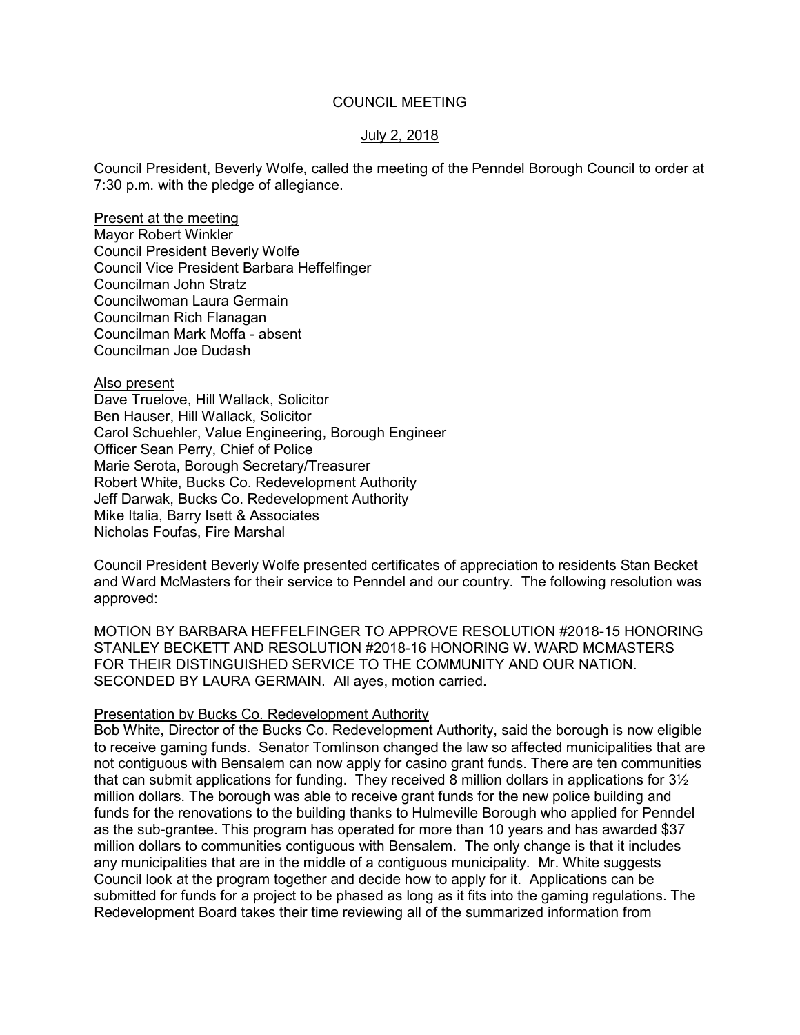#### COUNCIL MEETING

# July 2, 2018

Council President, Beverly Wolfe, called the meeting of the Penndel Borough Council to order at 7:30 p.m. with the pledge of allegiance.

Present at the meeting Mayor Robert Winkler Council President Beverly Wolfe Council Vice President Barbara Heffelfinger Councilman John Stratz Councilwoman Laura Germain Councilman Rich Flanagan Councilman Mark Moffa - absent Councilman Joe Dudash

Also present

Dave Truelove, Hill Wallack, Solicitor Ben Hauser, Hill Wallack, Solicitor Carol Schuehler, Value Engineering, Borough Engineer Officer Sean Perry, Chief of Police Marie Serota, Borough Secretary/Treasurer Robert White, Bucks Co. Redevelopment Authority Jeff Darwak, Bucks Co. Redevelopment Authority Mike Italia, Barry Isett & Associates Nicholas Foufas, Fire Marshal

Council President Beverly Wolfe presented certificates of appreciation to residents Stan Becket and Ward McMasters for their service to Penndel and our country. The following resolution was approved:

MOTION BY BARBARA HEFFELFINGER TO APPROVE RESOLUTION #2018-15 HONORING STANLEY BECKETT AND RESOLUTION #2018-16 HONORING W. WARD MCMASTERS FOR THEIR DISTINGUISHED SERVICE TO THE COMMUNITY AND OUR NATION. SECONDED BY LAURA GERMAIN. All ayes, motion carried.

#### Presentation by Bucks Co. Redevelopment Authority

Bob White, Director of the Bucks Co. Redevelopment Authority, said the borough is now eligible to receive gaming funds. Senator Tomlinson changed the law so affected municipalities that are not contiguous with Bensalem can now apply for casino grant funds. There are ten communities that can submit applications for funding. They received 8 million dollars in applications for 3½ million dollars. The borough was able to receive grant funds for the new police building and funds for the renovations to the building thanks to Hulmeville Borough who applied for Penndel as the sub-grantee. This program has operated for more than 10 years and has awarded \$37 million dollars to communities contiguous with Bensalem. The only change is that it includes any municipalities that are in the middle of a contiguous municipality. Mr. White suggests Council look at the program together and decide how to apply for it. Applications can be submitted for funds for a project to be phased as long as it fits into the gaming regulations. The Redevelopment Board takes their time reviewing all of the summarized information from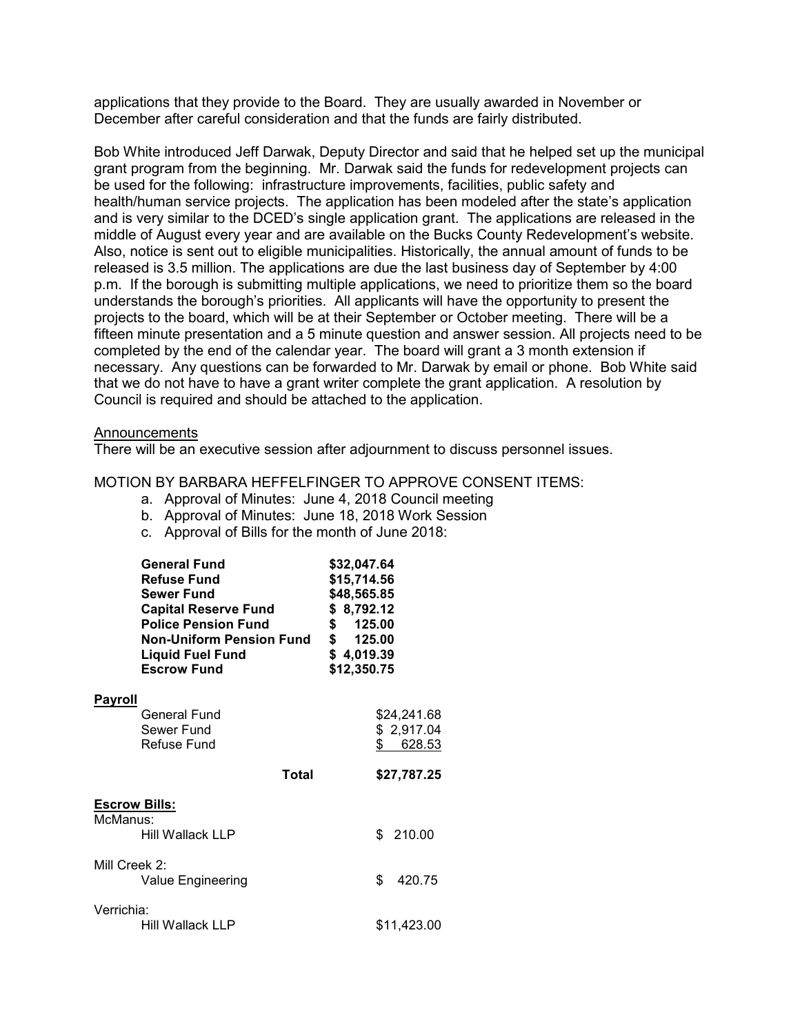applications that they provide to the Board. They are usually awarded in November or December after careful consideration and that the funds are fairly distributed.

Bob White introduced Jeff Darwak, Deputy Director and said that he helped set up the municipal grant program from the beginning. Mr. Darwak said the funds for redevelopment projects can be used for the following: infrastructure improvements, facilities, public safety and health/human service projects. The application has been modeled after the state's application and is very similar to the DCED's single application grant. The applications are released in the middle of August every year and are available on the Bucks County Redevelopment's website. Also, notice is sent out to eligible municipalities. Historically, the annual amount of funds to be released is 3.5 million. The applications are due the last business day of September by 4:00 p.m. If the borough is submitting multiple applications, we need to prioritize them so the board understands the borough's priorities. All applicants will have the opportunity to present the projects to the board, which will be at their September or October meeting. There will be a fifteen minute presentation and a 5 minute question and answer session. All projects need to be completed by the end of the calendar year. The board will grant a 3 month extension if necessary. Any questions can be forwarded to Mr. Darwak by email or phone. Bob White said that we do not have to have a grant writer complete the grant application. A resolution by Council is required and should be attached to the application.

#### **Announcements**

There will be an executive session after adjournment to discuss personnel issues.

# MOTION BY BARBARA HEFFELFINGER TO APPROVE CONSENT ITEMS:

- a. Approval of Minutes: June 4, 2018 Council meeting
- b. Approval of Minutes: June 18, 2018 Work Session
- c. Approval of Bills for the month of June 2018:

|                                  | <b>General Fund</b><br>\$32,047.64<br><b>Refuse Fund</b><br>\$15,714.56<br><b>Sewer Fund</b><br>\$48,565.85<br>\$8,792.12<br><b>Capital Reserve Fund</b><br><b>Police Pension Fund</b><br>\$ 125.00<br>\$ 125.00<br><b>Non-Uniform Pension Fund</b><br>\$4,019.39<br>Liquid Fuel Fund<br><b>Escrow Fund</b><br>\$12,350.75 |  |    |                                     |
|----------------------------------|----------------------------------------------------------------------------------------------------------------------------------------------------------------------------------------------------------------------------------------------------------------------------------------------------------------------------|--|----|-------------------------------------|
| <b>Payroll</b>                   | <b>General Fund</b><br>Sewer Fund<br><b>Refuse Fund</b>                                                                                                                                                                                                                                                                    |  | \$ | \$24,241.68<br>\$2,917.04<br>628.53 |
|                                  | Total                                                                                                                                                                                                                                                                                                                      |  |    | \$27,787.25                         |
| <u>Escrow Bills:</u><br>McManus: | Hill Wallack LLP                                                                                                                                                                                                                                                                                                           |  |    | \$210.00                            |
| Mill Creek 2:                    | Value Engineering                                                                                                                                                                                                                                                                                                          |  | \$ | 420.75                              |
| Verrichia:                       | Hill Wallack LLP                                                                                                                                                                                                                                                                                                           |  |    | \$11,423.00                         |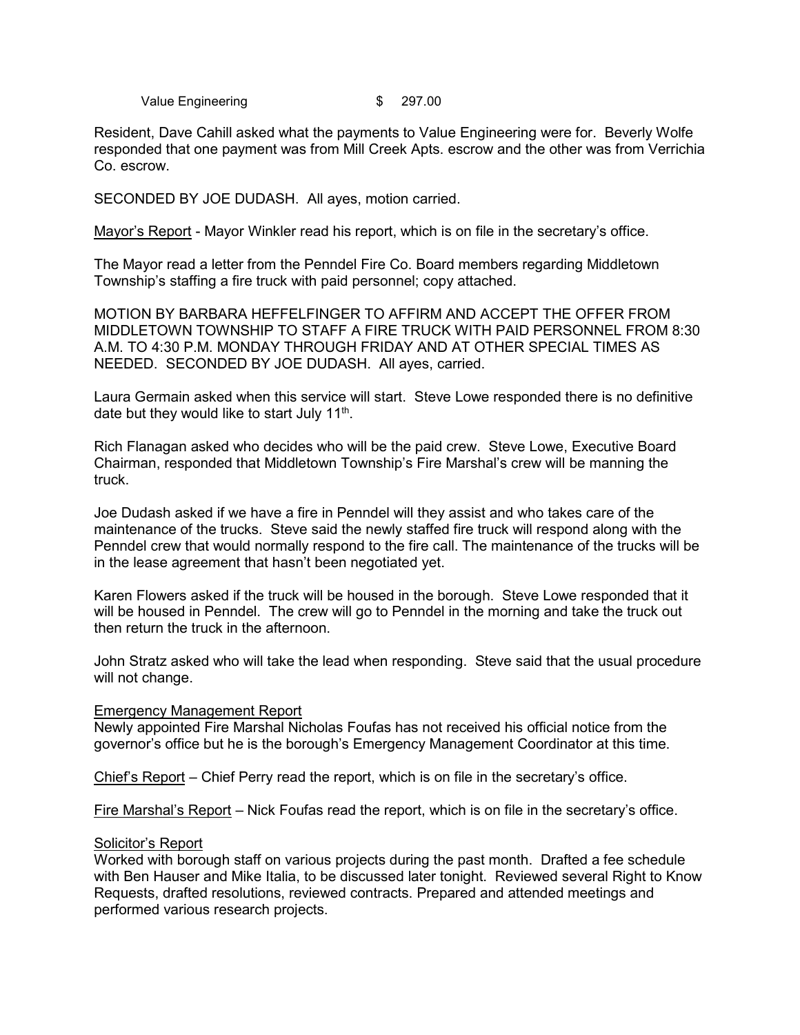Value Engineering **\$** 297.00

Resident, Dave Cahill asked what the payments to Value Engineering were for. Beverly Wolfe responded that one payment was from Mill Creek Apts. escrow and the other was from Verrichia Co. escrow.

SECONDED BY JOE DUDASH. All ayes, motion carried.

Mayor's Report - Mayor Winkler read his report, which is on file in the secretary's office.

The Mayor read a letter from the Penndel Fire Co. Board members regarding Middletown Township's staffing a fire truck with paid personnel; copy attached.

MOTION BY BARBARA HEFFELFINGER TO AFFIRM AND ACCEPT THE OFFER FROM MIDDLETOWN TOWNSHIP TO STAFF A FIRE TRUCK WITH PAID PERSONNEL FROM 8:30 A.M. TO 4:30 P.M. MONDAY THROUGH FRIDAY AND AT OTHER SPECIAL TIMES AS NEEDED. SECONDED BY JOE DUDASH. All ayes, carried.

Laura Germain asked when this service will start. Steve Lowe responded there is no definitive date but they would like to start July 11<sup>th</sup>.

Rich Flanagan asked who decides who will be the paid crew. Steve Lowe, Executive Board Chairman, responded that Middletown Township's Fire Marshal's crew will be manning the truck.

Joe Dudash asked if we have a fire in Penndel will they assist and who takes care of the maintenance of the trucks. Steve said the newly staffed fire truck will respond along with the Penndel crew that would normally respond to the fire call. The maintenance of the trucks will be in the lease agreement that hasn't been negotiated yet.

Karen Flowers asked if the truck will be housed in the borough. Steve Lowe responded that it will be housed in Penndel. The crew will go to Penndel in the morning and take the truck out then return the truck in the afternoon.

John Stratz asked who will take the lead when responding. Steve said that the usual procedure will not change.

#### Emergency Management Report

Newly appointed Fire Marshal Nicholas Foufas has not received his official notice from the governor's office but he is the borough's Emergency Management Coordinator at this time.

Chief's Report – Chief Perry read the report, which is on file in the secretary's office.

Fire Marshal's Report – Nick Foufas read the report, which is on file in the secretary's office.

#### Solicitor's Report

Worked with borough staff on various projects during the past month. Drafted a fee schedule with Ben Hauser and Mike Italia, to be discussed later tonight. Reviewed several Right to Know Requests, drafted resolutions, reviewed contracts. Prepared and attended meetings and performed various research projects.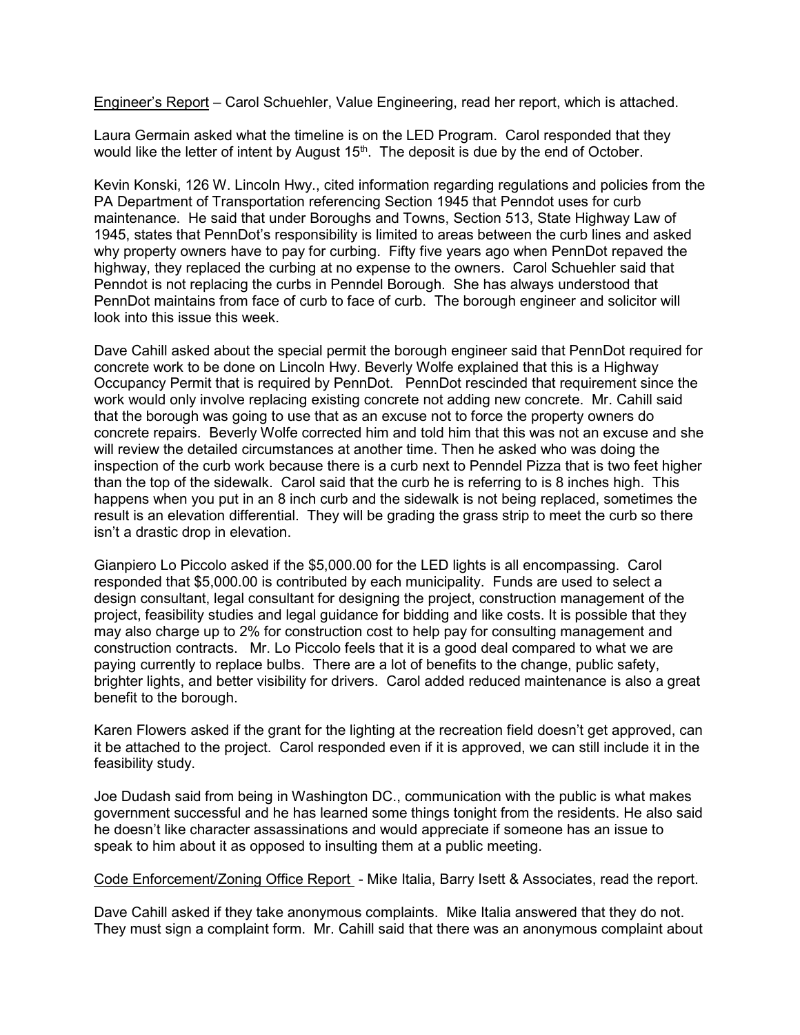Engineer's Report – Carol Schuehler, Value Engineering, read her report, which is attached.

Laura Germain asked what the timeline is on the LED Program. Carol responded that they would like the letter of intent by August 15<sup>th</sup>. The deposit is due by the end of October.

Kevin Konski, 126 W. Lincoln Hwy., cited information regarding regulations and policies from the PA Department of Transportation referencing Section 1945 that Penndot uses for curb maintenance. He said that under Boroughs and Towns, Section 513, State Highway Law of 1945, states that PennDot's responsibility is limited to areas between the curb lines and asked why property owners have to pay for curbing. Fifty five years ago when PennDot repaved the highway, they replaced the curbing at no expense to the owners. Carol Schuehler said that Penndot is not replacing the curbs in Penndel Borough. She has always understood that PennDot maintains from face of curb to face of curb. The borough engineer and solicitor will look into this issue this week.

Dave Cahill asked about the special permit the borough engineer said that PennDot required for concrete work to be done on Lincoln Hwy. Beverly Wolfe explained that this is a Highway Occupancy Permit that is required by PennDot. PennDot rescinded that requirement since the work would only involve replacing existing concrete not adding new concrete. Mr. Cahill said that the borough was going to use that as an excuse not to force the property owners do concrete repairs. Beverly Wolfe corrected him and told him that this was not an excuse and she will review the detailed circumstances at another time. Then he asked who was doing the inspection of the curb work because there is a curb next to Penndel Pizza that is two feet higher than the top of the sidewalk. Carol said that the curb he is referring to is 8 inches high. This happens when you put in an 8 inch curb and the sidewalk is not being replaced, sometimes the result is an elevation differential. They will be grading the grass strip to meet the curb so there isn't a drastic drop in elevation.

Gianpiero Lo Piccolo asked if the \$5,000.00 for the LED lights is all encompassing. Carol responded that \$5,000.00 is contributed by each municipality. Funds are used to select a design consultant, legal consultant for designing the project, construction management of the project, feasibility studies and legal guidance for bidding and like costs. It is possible that they may also charge up to 2% for construction cost to help pay for consulting management and construction contracts. Mr. Lo Piccolo feels that it is a good deal compared to what we are paying currently to replace bulbs. There are a lot of benefits to the change, public safety, brighter lights, and better visibility for drivers. Carol added reduced maintenance is also a great benefit to the borough.

Karen Flowers asked if the grant for the lighting at the recreation field doesn't get approved, can it be attached to the project. Carol responded even if it is approved, we can still include it in the feasibility study.

Joe Dudash said from being in Washington DC., communication with the public is what makes government successful and he has learned some things tonight from the residents. He also said he doesn't like character assassinations and would appreciate if someone has an issue to speak to him about it as opposed to insulting them at a public meeting.

Code Enforcement/Zoning Office Report - Mike Italia, Barry Isett & Associates, read the report.

Dave Cahill asked if they take anonymous complaints. Mike Italia answered that they do not. They must sign a complaint form. Mr. Cahill said that there was an anonymous complaint about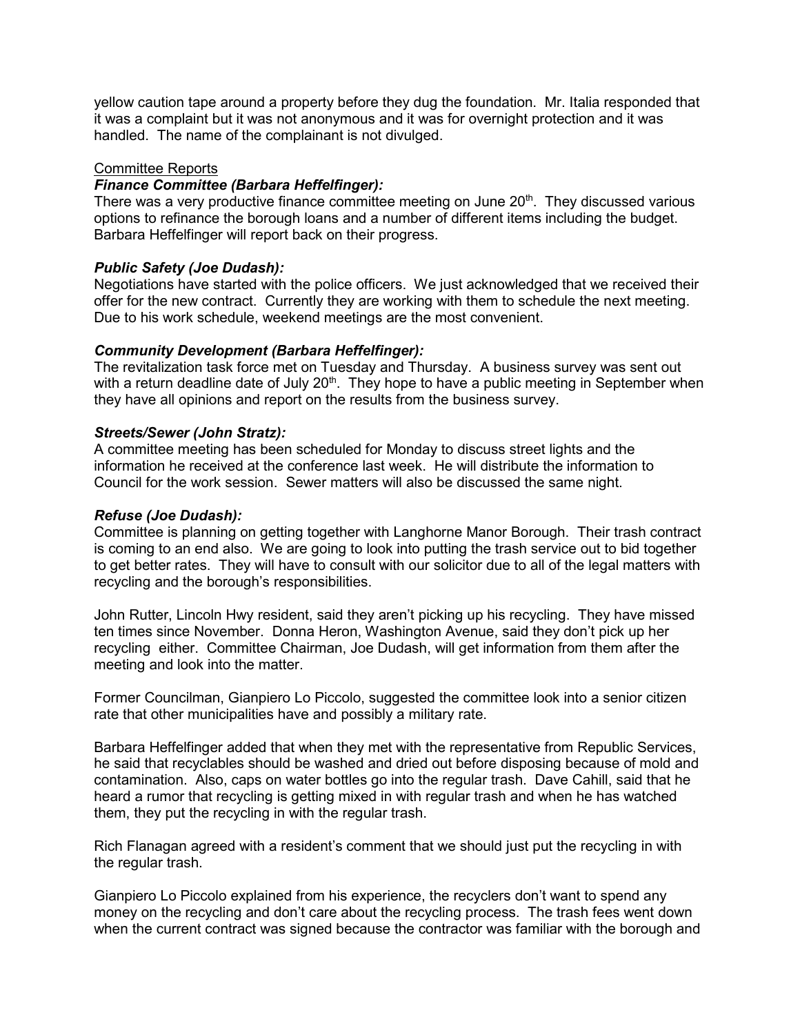yellow caution tape around a property before they dug the foundation. Mr. Italia responded that it was a complaint but it was not anonymous and it was for overnight protection and it was handled. The name of the complainant is not divulged.

# Committee Reports

#### *Finance Committee (Barbara Heffelfinger):*

There was a very productive finance committee meeting on June 20<sup>th</sup>. They discussed various options to refinance the borough loans and a number of different items including the budget. Barbara Heffelfinger will report back on their progress.

# *Public Safety (Joe Dudash):*

Negotiations have started with the police officers. We just acknowledged that we received their offer for the new contract. Currently they are working with them to schedule the next meeting. Due to his work schedule, weekend meetings are the most convenient.

# *Community Development (Barbara Heffelfinger):*

The revitalization task force met on Tuesday and Thursday. A business survey was sent out with a return deadline date of July  $20<sup>th</sup>$ . They hope to have a public meeting in September when they have all opinions and report on the results from the business survey.

# *Streets/Sewer (John Stratz):*

A committee meeting has been scheduled for Monday to discuss street lights and the information he received at the conference last week. He will distribute the information to Council for the work session. Sewer matters will also be discussed the same night.

# *Refuse (Joe Dudash):*

Committee is planning on getting together with Langhorne Manor Borough. Their trash contract is coming to an end also. We are going to look into putting the trash service out to bid together to get better rates. They will have to consult with our solicitor due to all of the legal matters with recycling and the borough's responsibilities.

John Rutter, Lincoln Hwy resident, said they aren't picking up his recycling. They have missed ten times since November. Donna Heron, Washington Avenue, said they don't pick up her recycling either. Committee Chairman, Joe Dudash, will get information from them after the meeting and look into the matter.

Former Councilman, Gianpiero Lo Piccolo, suggested the committee look into a senior citizen rate that other municipalities have and possibly a military rate.

Barbara Heffelfinger added that when they met with the representative from Republic Services, he said that recyclables should be washed and dried out before disposing because of mold and contamination. Also, caps on water bottles go into the regular trash. Dave Cahill, said that he heard a rumor that recycling is getting mixed in with regular trash and when he has watched them, they put the recycling in with the regular trash.

Rich Flanagan agreed with a resident's comment that we should just put the recycling in with the regular trash.

Gianpiero Lo Piccolo explained from his experience, the recyclers don't want to spend any money on the recycling and don't care about the recycling process. The trash fees went down when the current contract was signed because the contractor was familiar with the borough and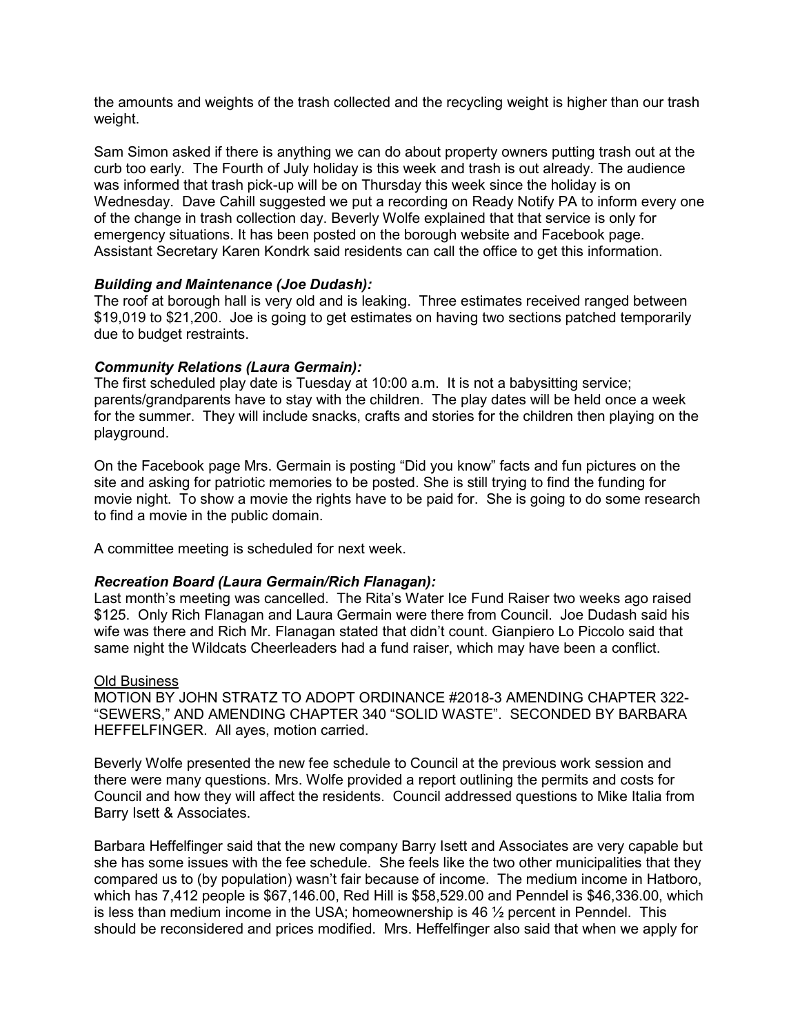the amounts and weights of the trash collected and the recycling weight is higher than our trash weight.

Sam Simon asked if there is anything we can do about property owners putting trash out at the curb too early. The Fourth of July holiday is this week and trash is out already. The audience was informed that trash pick-up will be on Thursday this week since the holiday is on Wednesday. Dave Cahill suggested we put a recording on Ready Notify PA to inform every one of the change in trash collection day. Beverly Wolfe explained that that service is only for emergency situations. It has been posted on the borough website and Facebook page. Assistant Secretary Karen Kondrk said residents can call the office to get this information.

# *Building and Maintenance (Joe Dudash):*

The roof at borough hall is very old and is leaking. Three estimates received ranged between \$19,019 to \$21,200. Joe is going to get estimates on having two sections patched temporarily due to budget restraints.

# *Community Relations (Laura Germain):*

The first scheduled play date is Tuesday at 10:00 a.m. It is not a babysitting service; parents/grandparents have to stay with the children. The play dates will be held once a week for the summer. They will include snacks, crafts and stories for the children then playing on the playground.

On the Facebook page Mrs. Germain is posting "Did you know" facts and fun pictures on the site and asking for patriotic memories to be posted. She is still trying to find the funding for movie night. To show a movie the rights have to be paid for. She is going to do some research to find a movie in the public domain.

A committee meeting is scheduled for next week.

# *Recreation Board (Laura Germain/Rich Flanagan):*

Last month's meeting was cancelled. The Rita's Water Ice Fund Raiser two weeks ago raised \$125. Only Rich Flanagan and Laura Germain were there from Council. Joe Dudash said his wife was there and Rich Mr. Flanagan stated that didn't count. Gianpiero Lo Piccolo said that same night the Wildcats Cheerleaders had a fund raiser, which may have been a conflict.

#### Old Business

MOTION BY JOHN STRATZ TO ADOPT ORDINANCE #2018-3 AMENDING CHAPTER 322- "SEWERS," AND AMENDING CHAPTER 340 "SOLID WASTE". SECONDED BY BARBARA HEFFELFINGER. All ayes, motion carried.

Beverly Wolfe presented the new fee schedule to Council at the previous work session and there were many questions. Mrs. Wolfe provided a report outlining the permits and costs for Council and how they will affect the residents. Council addressed questions to Mike Italia from Barry Isett & Associates.

Barbara Heffelfinger said that the new company Barry Isett and Associates are very capable but she has some issues with the fee schedule. She feels like the two other municipalities that they compared us to (by population) wasn't fair because of income. The medium income in Hatboro, which has 7,412 people is \$67,146.00, Red Hill is \$58,529.00 and Penndel is \$46,336.00, which is less than medium income in the USA; homeownership is 46 ½ percent in Penndel. This should be reconsidered and prices modified. Mrs. Heffelfinger also said that when we apply for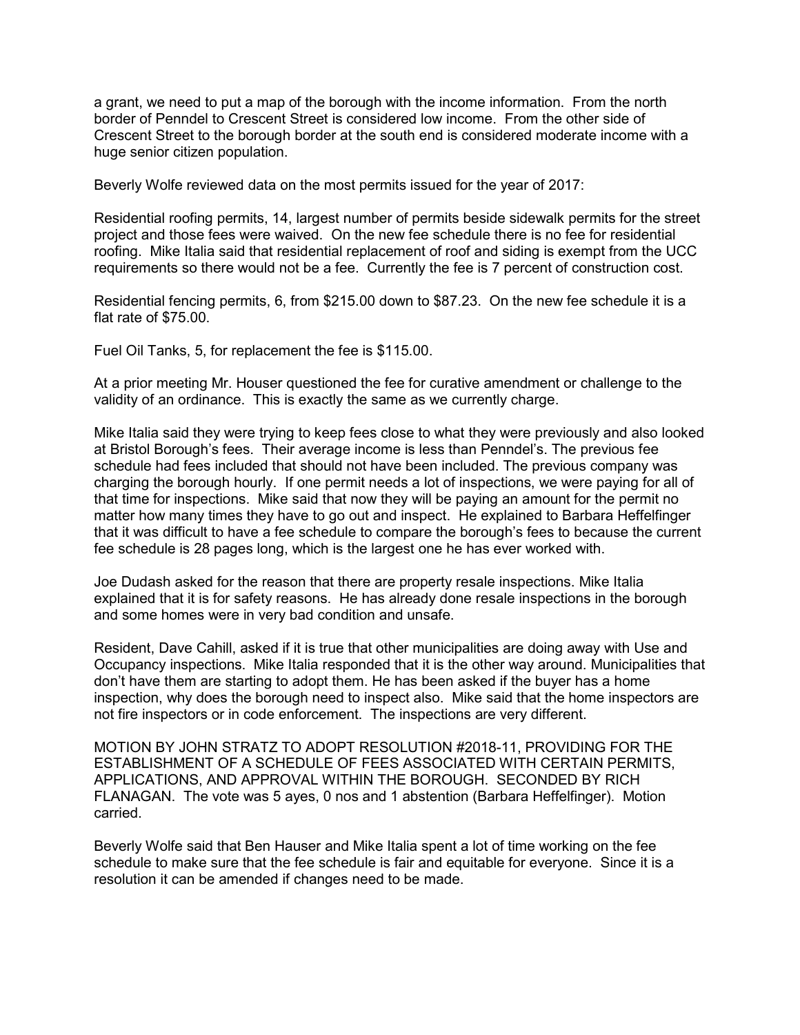a grant, we need to put a map of the borough with the income information. From the north border of Penndel to Crescent Street is considered low income. From the other side of Crescent Street to the borough border at the south end is considered moderate income with a huge senior citizen population.

Beverly Wolfe reviewed data on the most permits issued for the year of 2017:

Residential roofing permits, 14, largest number of permits beside sidewalk permits for the street project and those fees were waived. On the new fee schedule there is no fee for residential roofing. Mike Italia said that residential replacement of roof and siding is exempt from the UCC requirements so there would not be a fee. Currently the fee is 7 percent of construction cost.

Residential fencing permits, 6, from \$215.00 down to \$87.23. On the new fee schedule it is a flat rate of \$75.00.

Fuel Oil Tanks, 5, for replacement the fee is \$115.00.

At a prior meeting Mr. Houser questioned the fee for curative amendment or challenge to the validity of an ordinance. This is exactly the same as we currently charge.

Mike Italia said they were trying to keep fees close to what they were previously and also looked at Bristol Borough's fees. Their average income is less than Penndel's. The previous fee schedule had fees included that should not have been included. The previous company was charging the borough hourly. If one permit needs a lot of inspections, we were paying for all of that time for inspections. Mike said that now they will be paying an amount for the permit no matter how many times they have to go out and inspect. He explained to Barbara Heffelfinger that it was difficult to have a fee schedule to compare the borough's fees to because the current fee schedule is 28 pages long, which is the largest one he has ever worked with.

Joe Dudash asked for the reason that there are property resale inspections. Mike Italia explained that it is for safety reasons. He has already done resale inspections in the borough and some homes were in very bad condition and unsafe.

Resident, Dave Cahill, asked if it is true that other municipalities are doing away with Use and Occupancy inspections. Mike Italia responded that it is the other way around. Municipalities that don't have them are starting to adopt them. He has been asked if the buyer has a home inspection, why does the borough need to inspect also. Mike said that the home inspectors are not fire inspectors or in code enforcement. The inspections are very different.

MOTION BY JOHN STRATZ TO ADOPT RESOLUTION #2018-11, PROVIDING FOR THE ESTABLISHMENT OF A SCHEDULE OF FEES ASSOCIATED WITH CERTAIN PERMITS, APPLICATIONS, AND APPROVAL WITHIN THE BOROUGH. SECONDED BY RICH FLANAGAN. The vote was 5 ayes, 0 nos and 1 abstention (Barbara Heffelfinger). Motion carried.

Beverly Wolfe said that Ben Hauser and Mike Italia spent a lot of time working on the fee schedule to make sure that the fee schedule is fair and equitable for everyone. Since it is a resolution it can be amended if changes need to be made.